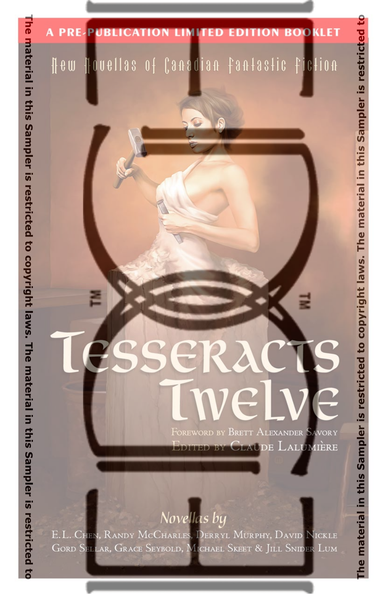### **A PRE-PUBLICATION LIMITED EDITION BOOKLET**

### Hew Houellas of Canadian fantastic fiction

# Tesseracts welve FOREWORD BY BRETT ALEXANDER SAVORY

EDITED BY CLAUDE LALUMIÈRE

### Novellas by

E.L. CHEN, RANDY MCCHARLES, DERRYL MURPHY, DAVID NICKLE GORD SELLAR, GRACE SEYBOLD, MICHAEL SKEET & JILL SNIDER LUM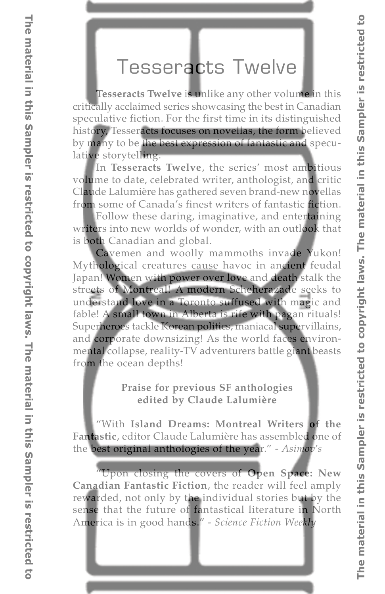### [Tesseracts Twelve](http://www.edgewebsite.com/books/tess12/t12-catalog.html)

**Tesseracts Twelve** is unlike any other volume in this critically acclaimed series showcasing the best in Canadian speculative fiction. For the first time in its distinguished history, Tesseracts focuses on novellas, the form believed by many to be the best expression of fantastic and speculative storytelling.

In **Tesseracts Twelve**, the series' most ambitious volume to date, celebrated writer, anthologist, and critic Claude Lalumière has gathered seven brand-new novellas from some of Canada's finest writers of fantastic fiction.

Follow these daring, imaginative, and entertaining writers into new worlds of wonder, with an outlook that is both Canadian and global.

Cavemen and woolly mammoths invade Yukon! Mythological creatures cause havoc in ancient feudal Japan! Women with power over love and death stalk the streets of Montreal! A modern Scheherazade seeks to understand love in a Toronto suffused with magic and fable! A small town in Alberta is rife with pagan rituals! Superheroes tackle Korean politics, maniacal supervillains, and corporate downsizing! As the world faces environmental collapse, reality-TV adventurers battle giant beasts from the ocean depths!

### **Praise for previous SF anthologies edited by Claude Lalumière**

"With **Island Dreams: Montreal Writers of the Fantastic**, editor Claude Lalumière has assembled one of the best original anthologies of the year." - *Asimov's*

"Upon closing the covers of **Open Space: New Canadian Fantastic Fiction**, the reader will feel amply rewarded, not only by the individual stories but by the sense that the future of fantastical literature in North America is in good hands." - *Science Fiction Weekly*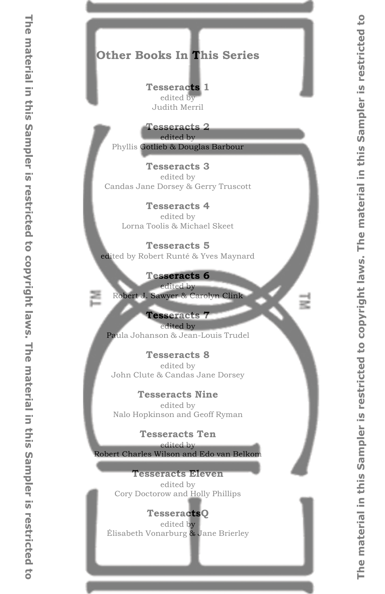### **Other Books In This Series**

#### **[Tesseracts 1](http://www.edgewebsite.com/books/tess1/t1-catalog.html)**

edited by Judith Merril

### **[Tesseracts 2](http://www.edgewebsite.com/books/tess2/t2-catalog.html)**

edited by Phyllis Gotlieb & Douglas Barbour

### **[Tesseracts 3](http://www.edgewebsite.com/books/tess3/t3-catalog.html)**

edited by Candas Jane Dorsey & Gerry Truscott

#### **[Tesseracts 4](http://www.edgewebsite.com/books/tess4/t4-catalog.html)**

edited by Lorna Toolis & Michael Skeet

#### **[Tesseracts 5](http://www.edgewebsite.com/books/tess5/t5-catalog.html)**

edited by Robert Runté & Yves Maynard

### **[Tesseracts 6](http://www.edgewebsite.com/books/tess6/t6-catalog.html)**

edited by Robert J. Sawyer & Carolyn Clink

### **[Tesseracts 7](http://www.edgewebsite.com/books/tess7/t7-catalog.html)**

edited by Paula Johanson & Jean-Louis Trudel

#### **[Tesseracts 8](http://www.edgewebsite.com/books/tess8/t8-catalog.html)**

edited by John Clute & Candas Jane Dorsey

#### **[Tesseracts Nine](http://www.edgewebsite.com/books/tess9/t9-catalog.html)**

edited by Nalo Hopkinson and Geoff Ryman

### **[Tesseracts Ten](http://www.edgewebsite.com/books/tess10/t10-catalog.html)**

edited by Robert Charles Wilson and Edo van Belkom

#### **[Tesseracts Eleven](http://www.edgewebsite.com/books/tess11/t11-catalog.html)**

edited by Cory Doctorow and Holly Phillips

### **[TesseractsQ](http://www.edgewebsite.com/books/tess-q/tq-catalog.html)**

edited by Élisabeth Vonarburg & Jane Brierley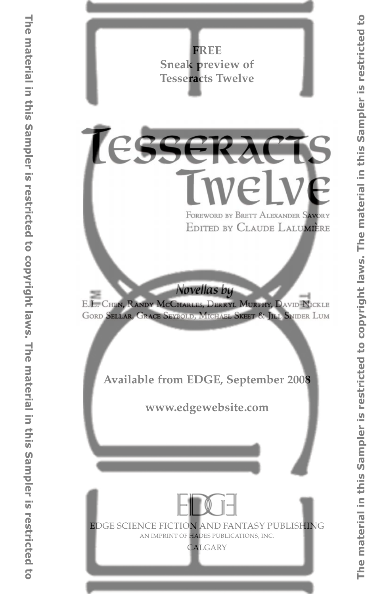**FREE Sneak preview of Tesseracts Twelve**

# TESSERACTS **Iwelve** FOREWORD BY BRETT ALEXANDER SAVORY EDITED BY CLAUDE LALUMERE

Novellas by

E.L. CHEN, RANDY MCCHARLES, DERRYL MURPHY, DAVID NICKLE GORD SELLAR, GRACE SEYBOLD, MICHAEL SKEET & JILL SNIDER LUM

**Available from EDGE, September 2008**

**[www.edgewebsite.com](http://www.edgewebsite.com/books/tess12/t12-catalog.html)**



EDGE SCIENCE FICTION AND FANTASY PUBLISHING AN IMPRINT OF HADES PUBLICATIONS, INC.

CALGARY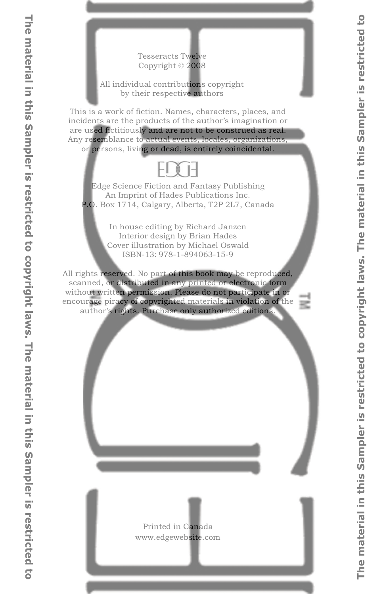#### Tesseracts Twelve Copyright © 2008

#### All individual contributions copyright by their respective authors

This is a work of fiction. Names, characters, places, and incidents are the products of the author's imagination or are used fictitiously and are not to be construed as real. Any resemblance to actual events, locales, organizations, or persons, living or dead, is entirely coincidental.

### FIVH

Edge Science Fiction and Fantasy Publishing An Imprint of Hades Publications Inc. P.O. Box 1714, Calgary, Alberta, T2P 2L7, Canada

> In house editing by Richard Janzen Interior design by Brian Hades Cover illustration by Michael Oswald ISBN-13: 978-1-894063-15-9

All rights reserved. No part of this book may be reproduced, scanned, or distributed in any printed or electronic form without written permission. Please do not participate in or encourage piracy of copyrighted materials in violation of the author's rights. Purchase only authorized editions.

> Printed in Canada www.edgewebsite.com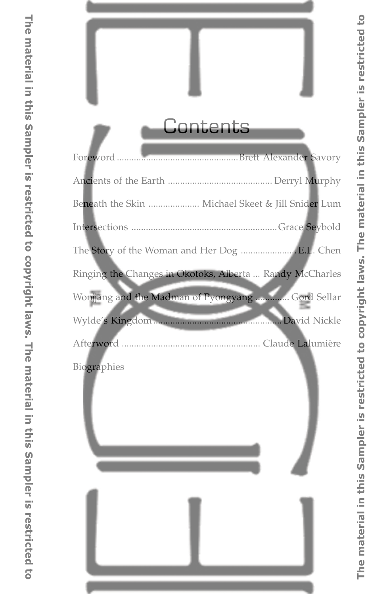# **Contents**

| Beneath the Skin  Michael Skeet & Jill Snider Lum        |
|----------------------------------------------------------|
|                                                          |
| The Story of the Woman and Her Dog  E.L. Chen            |
| Ringing the Changes in Okotoks, Alberta  Randy McCharles |
| Wonjjang and the Madman of Pyongyang  Gord Sellar        |
|                                                          |
|                                                          |
| Biographies                                              |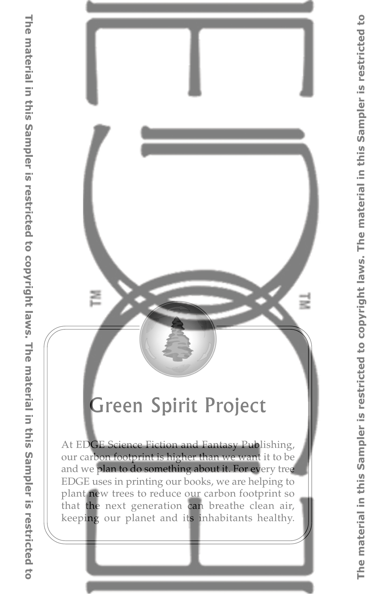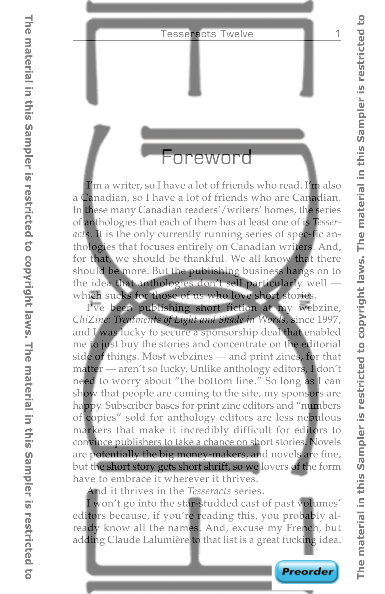### Foreword

I'm a writer, so I have a lot of friends who read. I'm also a Canadian, so I have a lot of friends who are Canadian. In these many Canadian readers'/writers' homes, the series of anthologies that each of them has at least one of is *Tesseracts*. It is the only currently running series of spec-fic anthologies that focuses entirely on Canadian writers. And, for that, we should be thankful. We all know that there should be more. But the publishing business hangs on to the idea that anthologies don't sell particularly well which sucks for those of us who love short stories.

I've been publishing short fiction at my webzine, *ChiZine: Treatments of Light and Shade in Words*, since 1997, and I was lucky to secure a sponsorship deal that enabled me to just buy the stories and concentrate on the editorial side of things. Most webzines — and print zines, for that matter — aren't so lucky. Unlike anthology editors, I don't need to worry about "the bottom line." So long as I can show that people are coming to the site, my sponsors are happy. Subscriber bases for print zine editors and "numbers of copies" sold for anthology editors are less nebulous markers that make it incredibly difficult for editors to convince publishers to take a chance on short stories. Novels are potentially the big money-makers, and novels are fine, but the short story gets short shrift, so we lovers of the form have to embrace it wherever it thrives.

And it thrives in the *Tesseracts* series.

I won't go into the star-studded cast of past volumes' editors because, if you're reading this, you probably already know all the names. And, excuse my French, but adding Claude Lalumière to that list is a great fucking idea.

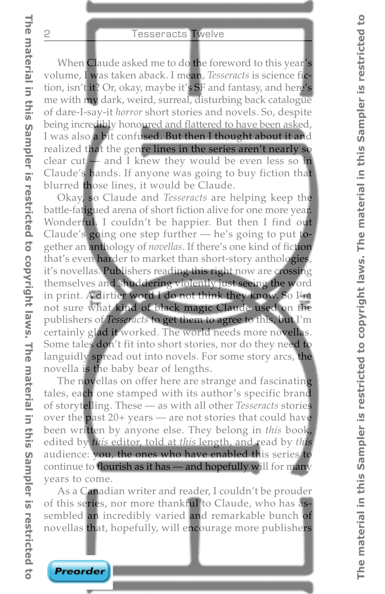When Claude asked me to do the foreword to this year's volume, I was taken aback. I mean, *Tesseracts* is science fiction, isn't it? Or, okay, maybe it's SF and fantasy, and here's me with my dark, weird, surreal, disturbing back catalogue of dare-I-say-it *horror* short stories and novels. So, despite being incredibly honoured and flattered to have been asked, I was also a bit confused. But then I thought about it and realized that the genre lines in the series aren't nearly so clear cut — and I knew they would be even less so in Claude's hands. If anyone was going to buy fiction that blurred those lines, it would be Claude.

Okay, so Claude and *Tesseracts* are helping keep the battle-fatigued arena of short fiction alive for one more year. Wonderful. I couldn't be happier. But then I find out Claude's going one step further — he's going to put together an anthology of *novellas*. If there's one kind of fiction that's even harder to market than short-story anthologies, it's novellas. Publishers reading this right now are crossing themselves and shuddering violently just seeing the word in print. A dirtier word I do not think they know. So I'm not sure what kind of black magic Claude used on the publishers of *Tesseracts* to get them to agree to this, but I'm certainly glad it worked. The world needs more novellas. Some tales don't fit into short stories, nor do they need to languidly spread out into novels. For some story arcs, the novella is the baby bear of lengths.

The novellas on offer here are strange and fascinating tales, each one stamped with its author's specific brand of storytelling. These — as with all other *Tesseracts* stories over the past 20+ years — are not stories that could have been written by anyone else. They belong in *this* book, edited by *this* editor, told at *this* length, and read by *this* audience: you, the ones who have enabled this series to continue to flourish as it has — and hopefully will for many years to come.

As a Canadian writer and reader, I couldn't be prouder of this series, nor more thankful to Claude, who has assembled an incredibly varied and remarkable bunch of novellas that, hopefully, will encourage more publishers

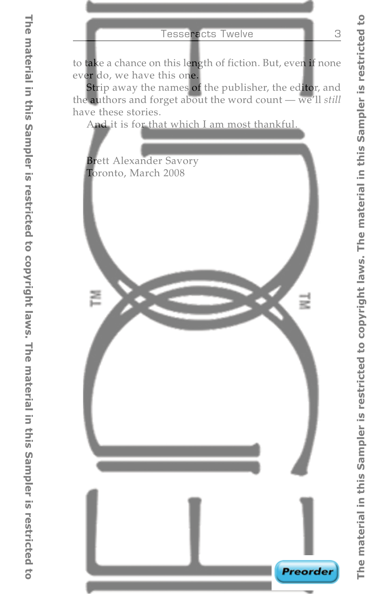to take a chance on this length of fiction. But, even if none ever do, we have this one.

Strip away the names of the publisher, the editor, and the authors and forget about the word count — we'll *still* have these stories.

And it is for that which I am most thankful.

Brett Alexander Savory Toronto, March 2008



**Preorder**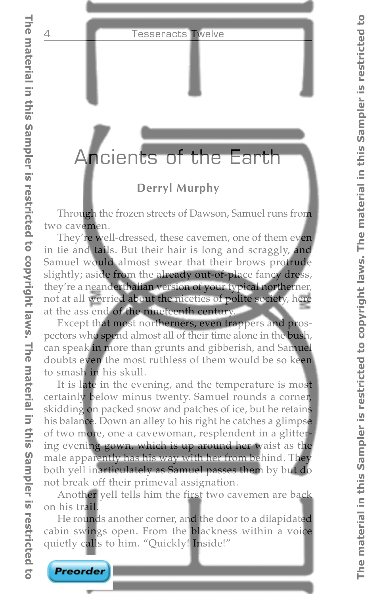### Ancients of the Earth

### **Derryl Murphy**

Through the frozen streets of Dawson, Samuel runs from two cavemen.

They're well-dressed, these cavemen, one of them even in tie and tails. But their hair is long and scraggly, and Samuel would almost swear that their brows protrude slightly; aside from the already out-of-place fancy dress, they're a neanderthalian version of your typical northerner, not at all worried about the niceties of polite society, here at the ass end of the nineteenth century.

Except that most northerners, even trappers and prospectors who spend almost all of their time alone in the bush, can speak in more than grunts and gibberish, and Samuel doubts even the most ruthless of them would be so keen to smash in his skull.

It is late in the evening, and the temperature is most certainly below minus twenty. Samuel rounds a corner, skidding on packed snow and patches of ice, but he retains his balance. Down an alley to his right he catches a glimpse of two more, one a cavewoman, resplendent in a glittering evening gown, which is up around her waist as the male apparently has his way with her from behind. They both yell inarticulately as Samuel passes them by but do not break off their primeval assignation.

Another yell tells him the first two cavemen are back on his trail.

He rounds another corner, and the door to a dilapidated cabin swings open. From the blackness within a voice quietly calls to him. "Quickly! Inside!"

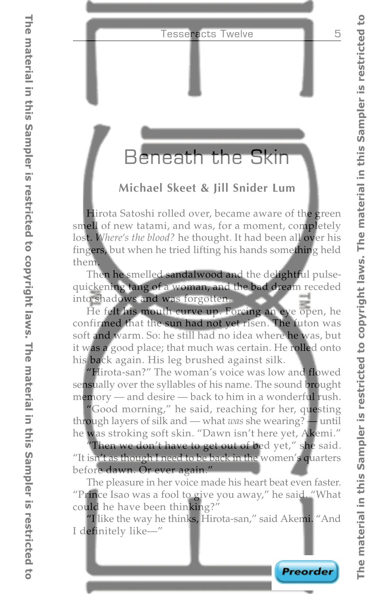### Beneath the Skin

### **Michael Skeet & Jill Snider Lum**

Hirota Satoshi rolled over, became aware of the green smell of new tatami, and was, for a moment, completely lost. *Where's the blood?* he thought. It had been all over his fingers, but when he tried lifting his hands something held them.

Then he smelled sandalwood and the delightful pulsequickening tang of a woman, and the bad dream receded into shadows and was forgotten.

He felt his mouth curve up. Forcing an eye open, he confirmed that the sun had not yet risen. The futon was soft and warm. So: he still had no idea where he was, but it was a good place; that much was certain. He rolled onto his back again. His leg brushed against silk.

"Hirota-san?" The woman's voice was low and flowed sensually over the syllables of his name. The sound brought memory — and desire — back to him in a wonderful rush.

"Good morning," he said, reaching for her, questing through layers of silk and — what *was* she wearing? — until he was stroking soft skin. "Dawn isn't here yet, Akemi."

"Then we don't have to get out of bed yet," she said. "It isn't as though I need to be back in the women's quarters before dawn. Or ever again."

The pleasure in her voice made his heart beat even faster. "Prince Isao was a fool to give you away," he said. "What could he have been thinking?"

"I like the way he thinks, Hirota-san," said Akemi. "And I definitely like—"

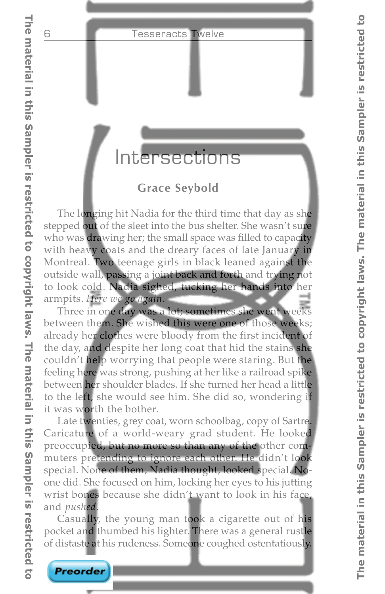### Intersections

### **Grace Seybold**

The longing hit Nadia for the third time that day as she stepped out of the sleet into the bus shelter. She wasn't sure who was drawing her; the small space was filled to capacity with heavy coats and the dreary faces of late January in Montreal. Two teenage girls in black leaned against the outside wall, passing a joint back and forth and trying not to look cold. Nadia sighed, tucking her hands into her armpits. *Here we go again*.

Three in one day was a lot; sometimes she went weeks between them. She wished this were one of those weeks; already her clothes were bloody from the first incident of the day, and despite her long coat that hid the stains she couldn't help worrying that people were staring. But the feeling here was strong, pushing at her like a railroad spike between her shoulder blades. If she turned her head a little to the left, she would see him. She did so, wondering if it was worth the bother.

Late twenties, grey coat, worn schoolbag, copy of Sartre. Caricature of a world-weary grad student. He looked preoccupied, but no more so than any of the other commuters pretending to ignore each other. He didn't look special. None of them, Nadia thought, looked special. Noone did. She focused on him, locking her eyes to his jutting wrist bones because she didn't want to look in his face, and *pushed*.

Casually, the young man took a cigarette out of his pocket and thumbed his lighter. There was a general rustle of distaste at his rudeness. Someone coughed ostentatiously.

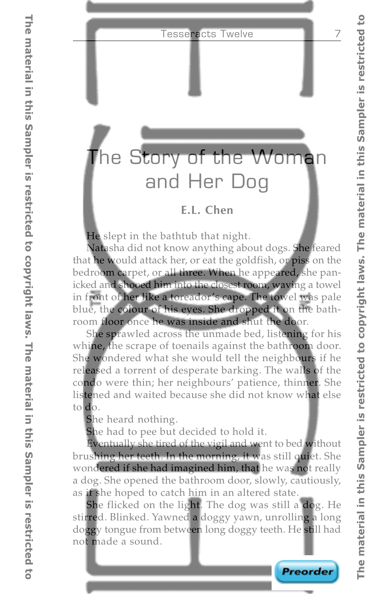# The Story of the Woman and Her Dog

### **E.L. Chen**

He slept in the bathtub that night.

Natasha did not know anything about dogs. She feared that he would attack her, or eat the goldfish, or piss on the bedroom carpet, or all three. When he appeared, she panicked and shooed him into the closest room, waving a towel in front of her like a toreador's cape. The towel was pale blue, the colour of his eyes. She dropped it on the bathroom floor once he was inside and shut the door.

She sprawled across the unmade bed, listening for his whine, the scrape of toenails against the bathroom door. She wondered what she would tell the neighbours if he released a torrent of desperate barking. The walls of the condo were thin; her neighbours' patience, thinner. She listened and waited because she did not know what else to do.

She heard nothing.

She had to pee but decided to hold it.

Eventually she tired of the vigil and went to bed without brushing her teeth. In the morning, it was still quiet. She wondered if she had imagined him, that he was not really a dog. She opened the bathroom door, slowly, cautiously, as if she hoped to catch him in an altered state.

She flicked on the light. The dog was still a dog. He stirred. Blinked. Yawned a doggy yawn, unrolling a long doggy tongue from between long doggy teeth. He still had not made a sound.

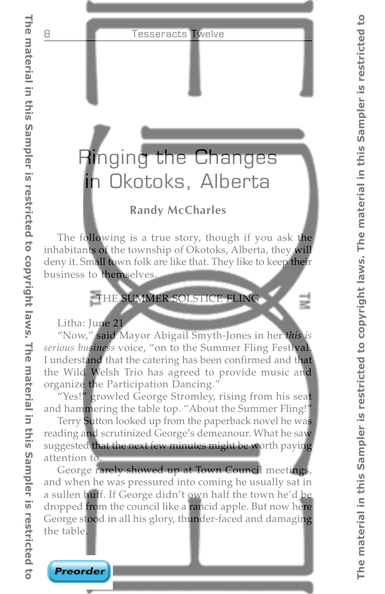# Ringing the Changes in Okotoks, Alberta

### **Randy McCharles**

The following is a true story, though if you ask the inhabitants of the township of Okotoks, Alberta, they will deny it. Small town folk are like that. They like to keep their business to themselves.

### THE SUMMER SOLSTICE FLING

Litha: June 21

"Now," said Mayor Abigail Smyth-Jones in her *this is serious business* voice, "on to the Summer Fling Festival. I understand that the catering has been confirmed and that the Wild Welsh Trio has agreed to provide music and organize the Participation Dancing."

"Yes!" growled George Stromley, rising from his seat and hammering the table top. "About the Summer Fling!"

Terry Sutton looked up from the paperback novel he was reading and scrutinized George's demeanour. What he saw suggested that the next few minutes might be worth paying attention to.

George rarely showed up at Town Council meetings, and when he was pressured into coming he usually sat in a sullen huff. If George didn't own half the town he'd be dropped from the council like a rancid apple. But now here George stood in all his glory, thunder-faced and damaging the table.

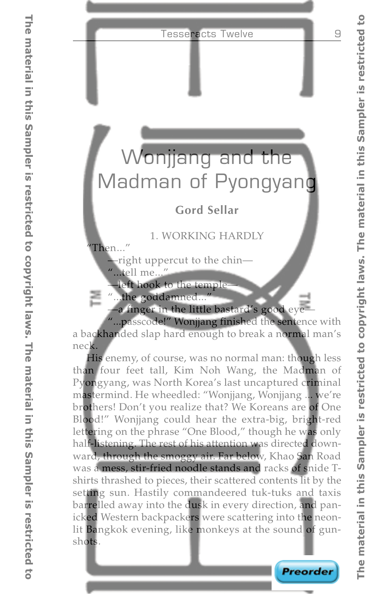# Wonjjang and the Madman of Pyongyang

### **Gord Sellar**

### 1. WORKING HARDLY

"Then..."

—right uppercut to the chin—

"...tell me..."

—left hook to the temple—

"...the goddamned..."

—a finger in the little bastard's good eye—

"...passcode!" Wonjjang finished the sentence with a backhanded slap hard enough to break a normal man's neck.

His enemy, of course, was no normal man: though less than four feet tall, Kim Noh Wang, the Madman of Pyongyang, was North Korea's last uncaptured criminal mastermind. He wheedled: "Wonjjang, Wonjjang ... we're brothers! Don't you realize that? We Koreans are of One Blood!" Wonjjang could hear the extra-big, bright-red lettering on the phrase "One Blood," though he was only half-listening. The rest of his attention was directed downward, through the smoggy air. Far below, Khao San Road was a mess, stir-fried noodle stands and racks of snide Tshirts thrashed to pieces, their scattered contents lit by the setting sun. Hastily commandeered tuk-tuks and taxis barrelled away into the dusk in every direction, and panicked Western backpackers were scattering into the neonlit Bangkok evening, like monkeys at the sound of gunshots.

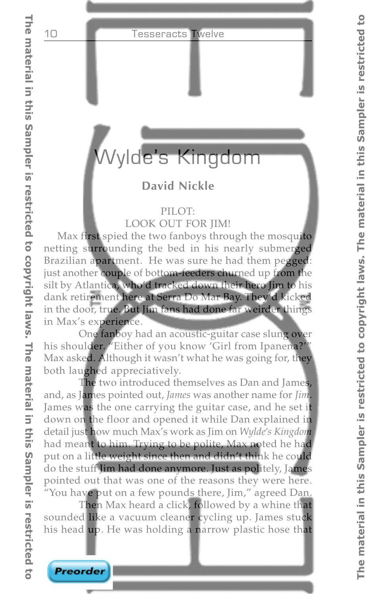## Wylde's Kingdom

### **David Nickle**

### PILOT:

LOOK OUT FOR JIM!

Max first spied the two fanboys through the mosquito netting surrounding the bed in his nearly submerged Brazilian apartment. He was sure he had them pegged: just another couple of bottom-feeders churned up from the silt by Atlantica, who'd tracked down their hero Jim to his dank retirement here at Serra Do Mar Bay. They'd kicked in the door, true. But Jim fans had done far weirder things in Max's experience.

One fanboy had an acoustic-guitar case slung over his shoulder. "Either of you know 'Girl from Ipanena?'" Max asked. Although it wasn't what he was going for, they both laughed appreciatively.

The two introduced themselves as Dan and James, and, as James pointed out, *James* was another name for *Jim*. James was the one carrying the guitar case, and he set it down on the floor and opened it while Dan explained in detail just how much Max's work as Jim on *Wylde's Kingdom* had meant to him. Trying to be polite, Max noted he had put on a little weight since then and didn't think he could do the stuff Jim had done anymore. Just as politely, James pointed out that was one of the reasons they were here. "You have put on a few pounds there, Jim," agreed Dan.

Then Max heard a click, followed by a whine that sounded like a vacuum cleaner cycling up. James stuck his head up. He was holding a narrow plastic hose that



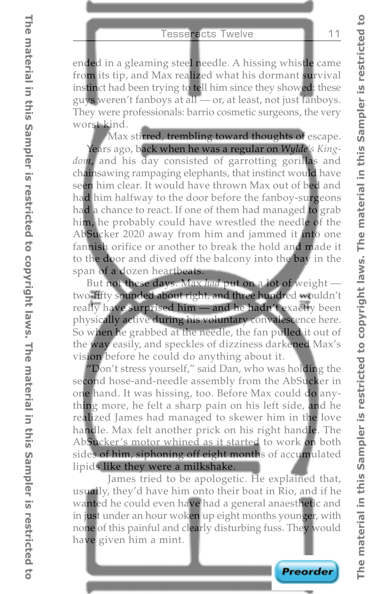ended in a gleaming steel needle. A hissing whistle came from its tip, and Max realized what his dormant survival instinct had been trying to tell him since they showed: these guys weren't fanboys at all — or, at least, not just fanboys. They were professionals: barrio cosmetic surgeons, the very worst kind.

Max stirred, trembling toward thoughts of escape. Years ago, back when he was a regular on *Wylde's Kingdom*, and his day consisted of garrotting gorillas and chainsawing rampaging elephants, that instinct would have seen him clear. It would have thrown Max out of bed and had him halfway to the door before the fanboy-surgeons had a chance to react. If one of them had managed to grab him, he probably could have wrestled the needle of the AbSucker 2020 away from him and jammed it into one fannish orifice or another to break the hold and made it to the door and dived off the balcony into the bay in the span of a dozen heartbeats.

But not these days. Max *had* put on a lot of weight two-fifty sounded about right, and three hundred wouldn't really have surprised him — and he hadn't exactly been physically active during his voluntary convalescence here. So when he grabbed at the needle, the fan pulled it out of the way easily, and speckles of dizziness darkened Max's vision before he could do anything about it.

"Don't stress yourself," said Dan, who was holding the second hose-and-needle assembly from the AbSucker in one hand. It was hissing, too. Before Max could do anything more, he felt a sharp pain on his left side, and he realized James had managed to skewer him in the love handle. Max felt another prick on his right handle. The AbSucker's motor whined as it started to work on both sides of him, siphoning off eight months of accumulated lipids like they were a milkshake.

James tried to be apologetic. He explained that, usually, they'd have him onto their boat in Rio, and if he wanted he could even have had a general anaesthetic and in just under an hour woken up eight months younger, with none of this painful and clearly disturbing fuss. They would have given him a mint.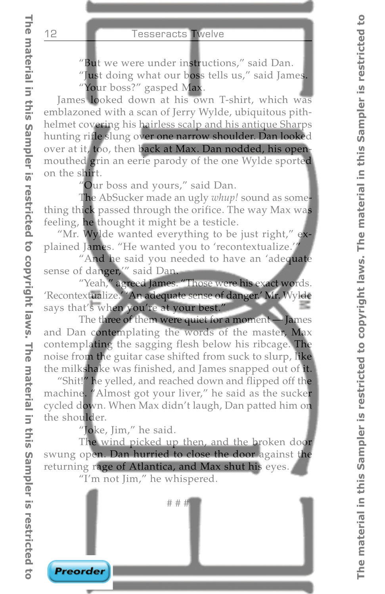"But we were under instructions," said Dan.

"Just doing what our boss tells us," said James.

"Your boss?" gasped Max.

James looked down at his own T-shirt, which was emblazoned with a scan of Jerry Wylde, ubiquitous pithhelmet covering his hairless scalp and his antique Sharps hunting rifle slung over one narrow shoulder. Dan looked over at it, too, then back at Max. Dan nodded, his openmouthed grin an eerie parody of the one Wylde sported on the shirt.

"Our boss and yours," said Dan.

The AbSucker made an ugly *whup!* sound as something thick passed through the orifice. The way Max was feeling, he thought it might be a testicle.

"Mr. Wylde wanted everything to be just right," explained James. "He wanted you to 'recontextualize.'"

"And he said you needed to have an 'adequate sense of danger,'" said Dan.

"Yeah," agreed James. "Those were his exact words. 'Recontextualize.' 'An adequate sense of danger.' Mr. Wylde says that's when you're at your best."

The three of them were quiet for a moment — James and Dan contemplating the words of the master, Max contemplating the sagging flesh below his ribcage. The noise from the guitar case shifted from suck to slurp, like the milkshake was finished, and James snapped out of it.

"Shit!" he yelled, and reached down and flipped off the machine. "Almost got your liver," he said as the sucker cycled down. When Max didn't laugh, Dan patted him on the shoulder.

"Joke, Jim," he said.

The wind picked up then, and the broken door swung open. Dan hurried to close the door against the returning rage of Atlantica, and Max shut his eyes.

"I'm not Jim," he whispered.

# # #

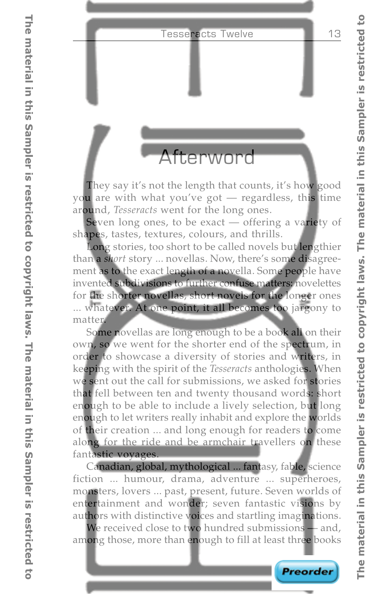### Afterword

They say it's not the length that counts, it's how good you are with what you've got — regardless, this time around, *Tesseracts* went for the long ones.

Seven long ones, to be exact — offering a variety of shapes, tastes, textures, colours, and thrills.

Long stories, too short to be called novels but lengthier than a *short* story ... novellas. Now, there's some disagreement as to the exact length of a novella. Some people have invented subdivisions to further confuse matters: novelettes for the shorter novellas, short novels for the longer ones ... whatever. At one point, it all becomes too jargony to matter.

Some novellas are long enough to be a book all on their own, so we went for the shorter end of the spectrum, in order to showcase a diversity of stories and writers, in keeping with the spirit of the *Tesseracts* anthologies. When we sent out the call for submissions, we asked for stories that fell between ten and twenty thousand words: short enough to be able to include a lively selection, but long enough to let writers really inhabit and explore the worlds of their creation ... and long enough for readers to come along for the ride and be armchair travellers on these fantastic voyages.

Canadian, global, mythological ... fantasy, fable, science fiction ... humour, drama, adventure ... superheroes, monsters, lovers ... past, present, future. Seven worlds of entertainment and wonder; seven fantastic visions by authors with distinctive voices and startling imaginations.

We received close to two hundred submissions — and, among those, more than enough to fill at least three books

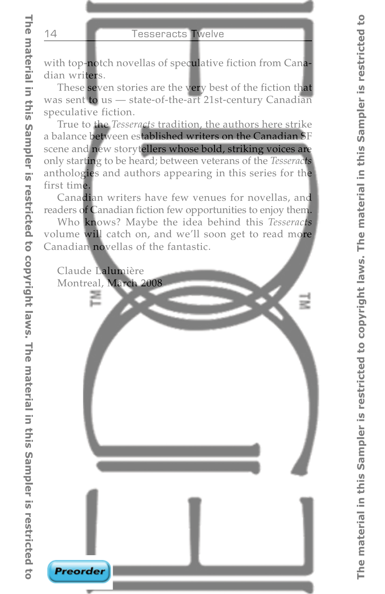with top-notch novellas of speculative fiction from Canadian writers.

These seven stories are the very best of the fiction that was sent to us — state-of-the-art 21st-century Canadian speculative fiction.

True to the *Tesseracts* tradition, the authors here strike a balance between established writers on the Canadian SF scene and new storytellers whose bold, striking voices are only starting to be heard; between veterans of the *Tesseracts* anthologies and authors appearing in this series for the first time.

Canadian writers have few venues for novellas, and readers of Canadian fiction few opportunities to enjoy them.

Who knows? Maybe the idea behind this *Tesseracts* volume will catch on, and we'll soon get to read more Canadian novellas of the fantastic.

Claude Lalumière Montreal, March 2008

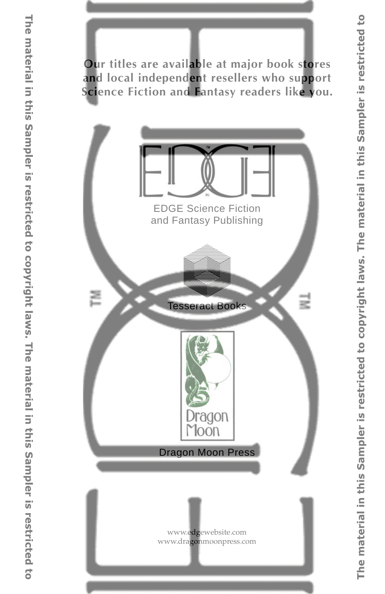**Our titles are available at major book stores and local independent resellers who support Science Fiction and Fantasy readers like you.**



EDGE Science Fiction and Fantasy Publishing



Tesseract Books



Dragon Moon Press

[www.edgewebsite.com](http://www.edgewebsite.com/books/tess12/t12-catalog.html) www.dragonmoonpress.com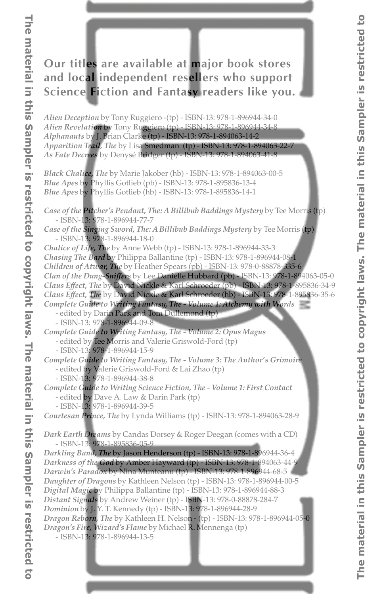### **Our titles are available at major book stores and local independent resellers who support Science Fiction and Fantasy readers like you.**

*Alien Deception* by Tony Ruggiero -(tp) - ISBN-13: 978-1-896944-34-0 *Alien Revelation* by Tony Ruggiero (tp) - ISBN-13: 978-1-896944-34-8 *Alphanauts* by J. Brian Clarke (tp) - ISBN-13: 978-1-894063-14-2 *Apparition Trail, The* by Lisa Smedman (tp) - ISBN-13: 978-1-894063-22-7 *As Fate Decrees* by Denysé Bridger (tp) - ISBN-13: 978-1-894063-41-8

*Black Chalice, The* by Marie Jakober (hb) - ISBN-13: 978-1-894063-00-5 *Blue Apes* by Phyllis Gotlieb (pb) - ISBN-13: 978-1-895836-13-4 *Blue Apes* by Phyllis Gotlieb (hb) - ISBN-13: 978-1-895836-14-1

*Case of the Pitcher's Pendant, The: A Billibub Baddings Mystery* by Tee Morris (tp) - ISBN-13: 978-1-896944-77-7

*Case of the Singing Sword, The: A Billibub Baddings Mystery* by Tee Morris (tp) - ISBN-13: 978-1-896944-18-0

*Chalice of Life, The* by Anne Webb (tp) - ISBN-13: 978-1-896944-33-3

*Chasing The Bard* by Philippa Ballantine (tp) - ISBN-13: 978-1-896944-08-1 *Children of Atwar, The* by Heather Spears (pb) - ISBN-13: 978-0-88878-335-6 *Clan of the Dung-Sniffers* by Lee Danielle Hubbard (pb) - ISBN-13: 978-1-894063-05-0 *Claus Effect, The* by David Nickle & Karl Schroeder (pb) - ISBN-13: 978-1-895836-34-9 *Claus Effect, The* by David Nickle & Karl Schroeder (hb) - ISBN-13: 978-1-895836-35-6

*Complete Guide to Writing Fantasy, The - Volume 1: Alchemy with Words*

- edited by Darin Park and Tom Dullemond (tp)
- ISBN-13: 978-1-896944-09-8

*Complete Guide to Writing Fantasy, The - Volume 2: Opus Magus* - edited by Tee Morris and Valerie Griswold-Ford (tp)

- ISBN-13: 978-1-896944-15-9

*Complete Guide to Writing Fantasy, The - Volume 3: The Author's Grimoire* - edited by Valerie Griswold-Ford & Lai Zhao (tp)

- ISBN-13: 978-1-896944-38-8

*Complete Guide to Writing Science Fiction, The - Volume 1: First Contact*

- edited by Dave A. Law & Darin Park (tp)

- ISBN-13: 978-1-896944-39-5

*Courtesan Prince, The* by Lynda Williams (tp) - ISBN-13: 978-1-894063-28-9

*Dark Earth Dreams* by Candas Dorsey & Roger Deegan (comes with a CD) - ISBN-13: 978-1-895836-05-9

*Darkling Band, The* by Jason Henderson (tp) - ISBN-13: 978-1-896944-36-4 *Darkness of the God* by Amber Hayward (tp) - ISBN-13: 978-1-894063-44-9 *Darwin's Paradox* by Nina Munteanu (tp) - ISBN-13: 978-1-896944-68-5 *Daughter of Dragons* by Kathleen Nelson (tp) - ISBN-13: 978-1-896944-00-5 *Digital Magic* by Philippa Ballantine (tp) - ISBN-13: 978-1-896944-88-3 *Distant Signals* by Andrew Weiner (tp) - ISBN-13: 978-0-88878-284-7 *Dominion* by J. Y. T. Kennedy (tp) - ISBN-13: 978-1-896944-28-9 *Dragon Reborn, The* by Kathleen H. Nelson - (tp) - ISBN-13: 978-1-896944-05-0 *Dragon's Fire, Wizard's Flame* by Michael R. Mennenga (tp) - ISBN-13: 978-1-896944-13-5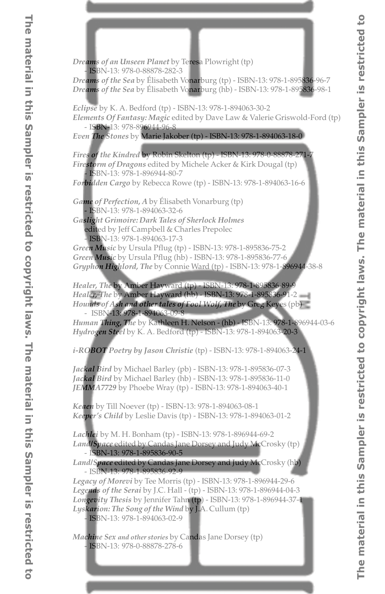*Dreams of an Unseen Planet* by Teresa Plowright (tp) - ISBN-13: 978-0-88878-282-3 *Dreams of the Sea* by Élisabeth Vonarburg (tp) - ISBN-13: 978-1-895836-96-7 *Dreams of the Sea* by Élisabeth Vonarburg (hb) - ISBN-13: 978-1-895836-98-1 *Eclipse* by K. A. Bedford (tp) - ISBN-13: 978-1-894063-30-2 *Elements Of Fantasy: Magic* edited by Dave Law & Valerie Griswold-Ford (tp) - ISBN-13: 978-896944-96-8 *Even The Stones* by Marie Jakober (tp) - ISBN-13: 978-1-894063-18-0 *Fires of the Kindred* by Robin Skelton (tp) - ISBN-13: 978-0-88878-271-7 *Firestorm of Dragons* edited by Michele Acker & Kirk Dougal (tp) - ISBN-13: 978-1-896944-80-7 *Forbidden Cargo* by Rebecca Rowe (tp) - ISBN-13: 978-1-894063-16-6 *Game of Perfection, A* by Élisabeth Vonarburg (tp) - ISBN-13: 978-1-894063-32-6 *Gaslight Grimoire: Dark Tales of Sherlock Holmes* edited by Jeff Campbell & Charles Prepolec - ISBN-13: 978-1-894063-17-3 *Green Music* by Ursula Pflug (tp) - ISBN-13: 978-1-895836-75-2 *Green Music* by Ursula Pflug (hb) - ISBN-13: 978-1-895836-77-6 *Gryphon Highlord, The* by Connie Ward (tp) - ISBN-13: 978-1-896944-38-8 *Healer, The* by Amber Hayward (tp) - ISBN-13: 978-1-895836-89-9 *Healer, The* by Amber Hayward (hb) - ISBN-13: 978-1-895836-91-2 *Hounds of Ash and other tales of Fool Wolf, The* by Greg Keyes (pb) - ISBN-13: 978-1-894063-09-8 *Human Thing, The* by Kathleen H. Nelson - (hb) - ISBN-13: 978-1-896944-03-6 *Hydrogen Steel* by K. A. Bedford (tp) - ISBN-13: 978-1-894063-20-3 *i-ROBOT Poetry by Jason Christie* (tp) - ISBN-13: 978-1-894063-24-1 *Jackal Bird* by Michael Barley (pb) - ISBN-13: 978-1-895836-07-3 *Jackal Bird* by Michael Barley (hb) - ISBN-13: 978-1-895836-11-0 *JEMMA7729* by Phoebe Wray (tp) - ISBN-13: 978-1-894063-40-1 *Keaen* by Till Noever (tp) - ISBN-13: 978-1-894063-08-1 *Keeper's Child* by Leslie Davis (tp) - ISBN-13: 978-1-894063-01-2 *Lachlei* by M. H. Bonham (tp) - ISBN-13: 978-1-896944-69-2 *Land/Space* edited by Candas Jane Dorsey and Judy McCrosky (tp) - ISBN-13: 978-1-895836-90-5 *Land/Space* edited by Candas Jane Dorsey and Judy McCrosky (hb) - ISBN-13: 978-1-895836-92-9 *Legacy of Morevi* by Tee Morris (tp) - ISBN-13: 978-1-896944-29-6 *Legends of the Serai* by J.C. Hall - (tp) - ISBN-13: 978-1-896944-04-3 *Longevity Thesis* by Jennifer Tahn (tp) - ISBN-13: 978-1-896944-37-1 *Lyskarion: The Song of the Wind* by J.A. Cullum (tp) - ISBN-13: 978-1-894063-02-9 *Machine Sex and other stories* by Candas Jane Dorsey (tp) - ISBN-13: 978-0-88878-278-6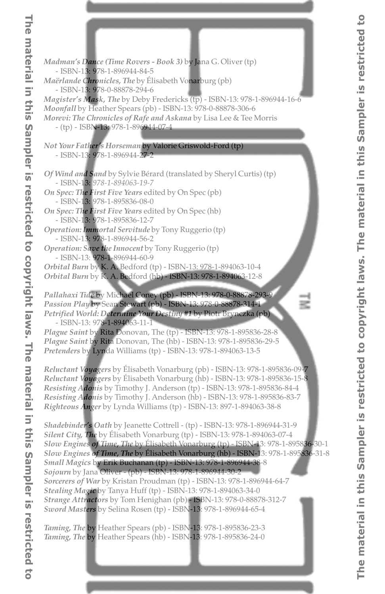*Madman's Dance (Time Rovers - Book 3)* by Jana G. Oliver (tp) - ISBN-13: 978-1-896944-84-5 *Maërlande Chronicles, The* by Élisabeth Vonarburg (pb) - ISBN-13: 978-0-88878-294-6 *Magister's Mask, The* by Deby Fredericks (tp) - ISBN-13: 978-1-896944-16-6 *Moonfall* by Heather Spears (pb) - ISBN-13: 978-0-88878-306-6 *Morevi: The Chronicles of Rafe and Askana* by Lisa Lee & Tee Morris - (tp) - ISBN-13: 978-1-896944-07-4 *Not Your Father's Horseman* by Valorie Griswold-Ford (tp) - ISBN-13: 978-1-896944-27-2 *Of Wind and Sand* by Sylvie Bérard (translated by Sheryl Curtis) (tp) - ISBN-13: *978-1-894063-19-7 On Spec: The First Five Years* edited by On Spec (pb) - ISBN-13: 978-1-895836-08-0 *On Spec: The First Five Years* edited by On Spec (hb) - ISBN-13: 978-1-895836-12-7 *Operation: Immortal Servitude* by Tony Ruggerio (tp) - ISBN-13: 978-1-896944-56-2 *Operation: Save the Innocent* by Tony Ruggerio (tp) - ISBN-13: 978-1-896944-60-9 *Orbital Burn* by K. A. Bedford (tp) - ISBN-13: 978-1-894063-10-4 *Orbital Burn* by K. A. Bedford (hb) - ISBN-13: 978-1-894063-12-8 *Pallahaxi Tide* by Michael Coney (pb) - ISBN-13: 978-0-88878-293-9 *Passion Play* by Sean Stewart (pb) - ISBN-13: 978-0-88878-314-1 *Petrified World: Determine Your Destiny #1* by Piotr Brynczka (pb) - ISBN-13: 978-1-894063-11-1 *Plague Saint* by Rita Donovan, The (tp) - ISBN-13: 978-1-895836-28-8 *Plague Saint* by Rita Donovan, The (hb) - ISBN-13: 978-1-895836-29-5 *Pretenders* by Lynda Williams (tp) - ISBN-13: 978-1-894063-13-5 *Reluctant Voyagers* by Élisabeth Vonarburg (pb) - ISBN-13: 978-1-895836-09-7

*Reluctant Voyagers* by Élisabeth Vonarburg (hb) - ISBN-13: 978-1-895836-15-8 *Resisting Adonis* by Timothy J. Anderson (tp) - ISBN-13: 978-1-895836-84-4 *Resisting Adonis* by Timothy J. Anderson (hb) - ISBN-13: 978-1-895836-83-7 *Righteous Anger* by Lynda Williams (tp) - ISBN-13: 897-1-894063-38-8

*Shadebinder's Oath* by Jeanette Cottrell - (tp) - ISBN-13: 978-1-896944-31-9 *Silent City, The* by Élisabeth Vonarburg (tp) - ISBN-13: 978-1-894063-07-4 *Slow Engines of Time, The* by Élisabeth Vonarburg (tp) - ISBN-13: 978-1-895836-30-1 *Slow Engines of Time, The* by Élisabeth Vonarburg (hb) - ISBN-13: 978-1-895836-31-8 *Small Magics* by Erik Buchanan (tp) - ISBN-13: 978-1-896944-38-8 *Sojourn* by Jana Oliver - (pb) - ISBN-13: 978-1-896944-30-2 *Sorcerers of War* by Kristan Proudman (tp) - ISBN-13: 978-1-896944-64-7 *Stealing Magic* by Tanya Huff (tp) - ISBN-13: 978-1-894063-34-0 *Strange Attractors* by Tom Henighan (pb) - ISBN-13: 978-0-88878-312-7 *Sword Masters* by Selina Rosen (tp) - ISBN-13: 978-1-896944-65-4

*Taming, The* by Heather Spears (pb) - ISBN-13: 978-1-895836-23-3 *Taming, The* by Heather Spears (hb) - ISBN-13: 978-1-895836-24-0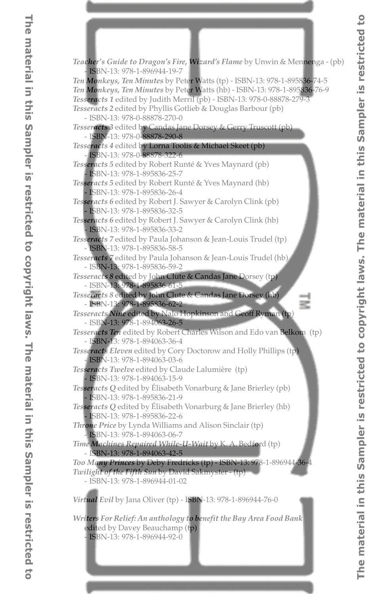*Teacher's Guide to Dragon's Fire, Wizard's Flame* by Unwin & Mennenga - (pb) - ISBN-13: 978-1-896944-19-7 *Ten Monkeys, Ten Minutes* by Peter Watts (tp) - ISBN-13: 978-1-895836-74-5 *Ten Monkeys, Ten Minutes* by Peter Watts (hb) - ISBN-13: 978-1-895836-76-9 *Tesseracts 1* edited by Judith Merril (pb) - ISBN-13: 978-0-88878-279-3 *Tesseracts 2* edited by Phyllis Gotlieb & Douglas Barbour (pb) - ISBN-13: 978-0-88878-270-0 *Tesseracts 3* edited by Candas Jane Dorsey & Gerry Truscott (pb) - ISBN-13: 978-0-88878-290-8 *Tesseracts 4* edited by Lorna Toolis & Michael Skeet (pb) - ISBN-13: 978-0-88878-322-6 *Tesseracts 5* edited by Robert Runté & Yves Maynard (pb) - ISBN-13: 978-1-895836-25-7 *Tesseracts 5* edited by Robert Runté & Yves Maynard (hb) - ISBN-13: 978-1-895836-26-4 *Tesseracts 6* edited by Robert J. Sawyer & Carolyn Clink (pb) - ISBN-13: 978-1-895836-32-5 *Tesseracts 6* edited by Robert J. Sawyer & Carolyn Clink (hb) - ISBN-13: 978-1-895836-33-2 *Tesseracts 7* edited by Paula Johanson & Jean-Louis Trudel (tp) - ISBN-13: 978-1-895836-58-5 *Tesseracts 7* edited by Paula Johanson & Jean-Louis Trudel (hb) - ISBN-13: 978-1-895836-59-2 *Tesseracts 8* edited by John Clute & Candas Jane Dorsey (tp) - ISBN-13: 978-1-895836-61-5 *Tesseracts 8* edited by John Clute & Candas Jane Dorsey (hb) - ISBN-13: 978-1-895836-62-2 *Tesseracts Nine* edited by Nalo Hopkinson and Geoff Ryman (tp) - ISBN-13: 978-1-894063-26-5 *Tesseracts Ten* edited by Robert Charles Wilson and Edo van Belkom (tp) - ISBN-13: 978-1-894063-36-4 *Tesseracts Eleven* edited by Cory Doctorow and Holly Phillips (tp) - ISBN-13: 978-1-894063-03-6 *Tesseracts Twelve* edited by Claude Lalumière (tp) - ISBN-13: 978-1-894063-15-9 *Tesseracts Q* edited by Élisabeth Vonarburg & Jane Brierley (pb) - ISBN-13: 978-1-895836-21-9 *Tesseracts Q* edited by Élisabeth Vonarburg & Jane Brierley (hb) - ISBN-13: 978-1-895836-22-6 *Throne Price* by Lynda Williams and Alison Sinclair (tp) - ISBN-13: 978-1-894063-06-7 *Time Machines Repaired While-U-Wait* by K. A. Bedford (tp) - ISBN-13: 978-1-894063-42-5 *Too Many Princes* by Deby Fredricks (tp) - ISBN-13: 978-1-896944-36-4 *Twilight of the Fifth Sun* by David Sakmyster - (tp) - ISBN-13: 978-1-896944-01-02 *Virtual Evil* by Jana Oliver (tp) - ISBN-13: 978-1-896944-76-0

*Writers For Relief: An anthology to benefit the Bay Area Food Bank* edited by Davey Beauchamp (tp) - ISBN-13: 978-1-896944-92-0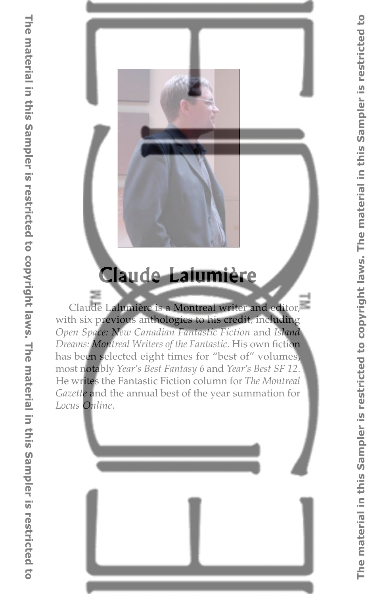

# **Claude Lalumière**

Claude Lalumière is a Montreal writer and editor, with six previous anthologies to his credit, including *Open Space: New Canadian Fantastic Fiction* and *Island Dreams: Montreal Writers of the Fantastic*. His own fiction has been selected eight times for "best of" volumes, most notably *Year's Best Fantasy 6* and *Year's Best SF 12*. He writes the Fantastic Fiction column for *The Montreal Gazette* and the annual best of the year summation for *Locus Online*.